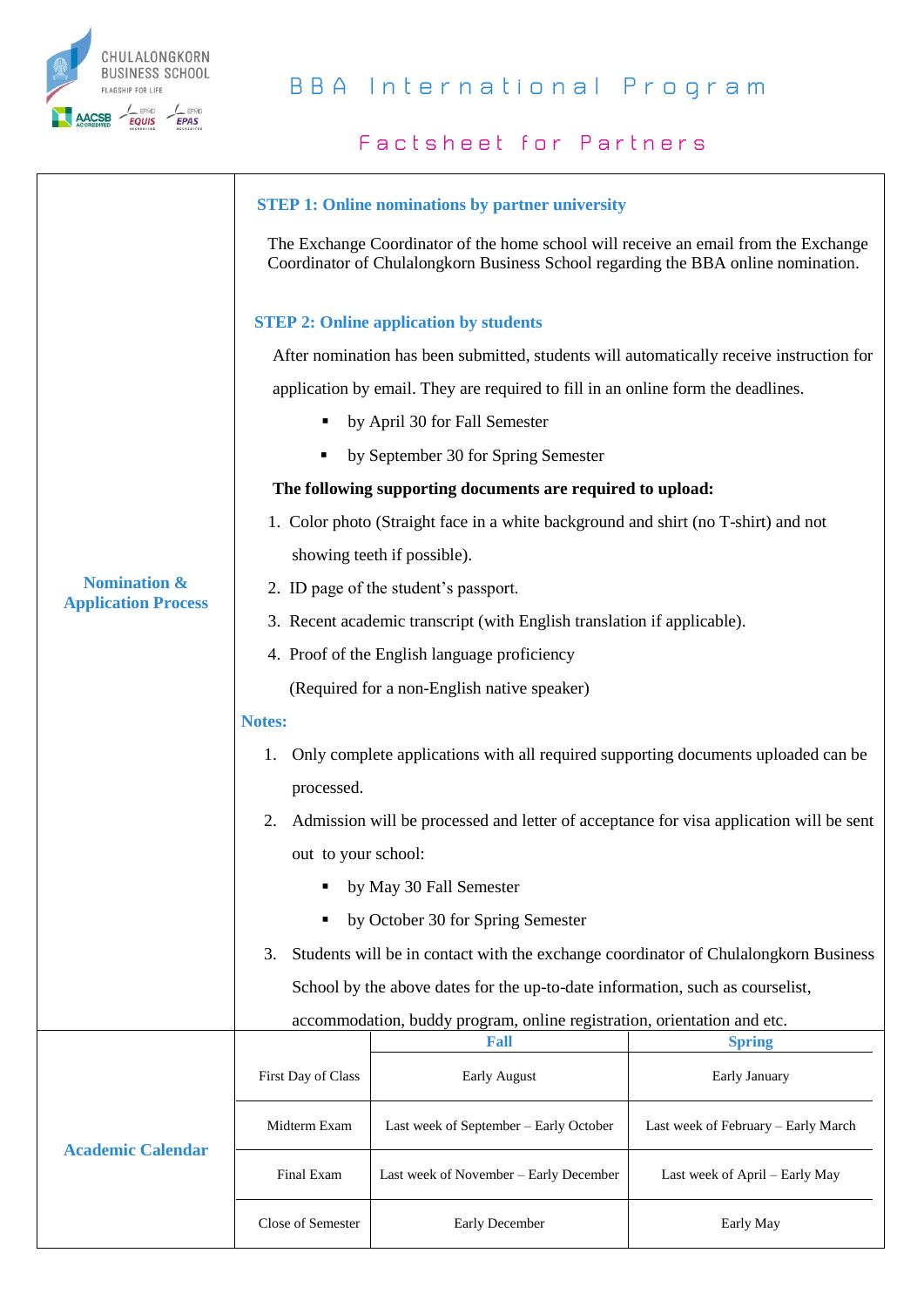

## **B B A I n t e r n a t i o n a l P r o g r a m**

## **Factsheet for Partners**

|                                                       | <b>STEP 1: Online nominations by partner university</b>                                                                                                                  |                                        |                                     |  |
|-------------------------------------------------------|--------------------------------------------------------------------------------------------------------------------------------------------------------------------------|----------------------------------------|-------------------------------------|--|
|                                                       | The Exchange Coordinator of the home school will receive an email from the Exchange<br>Coordinator of Chulalongkorn Business School regarding the BBA online nomination. |                                        |                                     |  |
|                                                       | <b>STEP 2: Online application by students</b>                                                                                                                            |                                        |                                     |  |
|                                                       | After nomination has been submitted, students will automatically receive instruction for                                                                                 |                                        |                                     |  |
|                                                       | application by email. They are required to fill in an online form the deadlines.                                                                                         |                                        |                                     |  |
|                                                       | by April 30 for Fall Semester<br>٠                                                                                                                                       |                                        |                                     |  |
|                                                       | by September 30 for Spring Semester                                                                                                                                      |                                        |                                     |  |
|                                                       | The following supporting documents are required to upload:                                                                                                               |                                        |                                     |  |
|                                                       | 1. Color photo (Straight face in a white background and shirt (no T-shirt) and not                                                                                       |                                        |                                     |  |
|                                                       | showing teeth if possible).                                                                                                                                              |                                        |                                     |  |
| <b>Nomination &amp;</b><br><b>Application Process</b> | 2. ID page of the student's passport.                                                                                                                                    |                                        |                                     |  |
|                                                       | 3. Recent academic transcript (with English translation if applicable).                                                                                                  |                                        |                                     |  |
|                                                       | 4. Proof of the English language proficiency                                                                                                                             |                                        |                                     |  |
|                                                       | (Required for a non-English native speaker)                                                                                                                              |                                        |                                     |  |
|                                                       | <b>Notes:</b>                                                                                                                                                            |                                        |                                     |  |
|                                                       | Only complete applications with all required supporting documents uploaded can be<br>1.                                                                                  |                                        |                                     |  |
|                                                       | processed.                                                                                                                                                               |                                        |                                     |  |
|                                                       | Admission will be processed and letter of acceptance for visa application will be sent<br>2.                                                                             |                                        |                                     |  |
|                                                       | out to your school:                                                                                                                                                      |                                        |                                     |  |
|                                                       | by May 30 Fall Semester                                                                                                                                                  |                                        |                                     |  |
|                                                       | by October 30 for Spring Semester<br>٠                                                                                                                                   |                                        |                                     |  |
|                                                       | Students will be in contact with the exchange coordinator of Chulalongkorn Business<br>3.                                                                                |                                        |                                     |  |
|                                                       | School by the above dates for the up-to-date information, such as courselist,                                                                                            |                                        |                                     |  |
|                                                       | accommodation, buddy program, online registration, orientation and etc.                                                                                                  |                                        |                                     |  |
|                                                       |                                                                                                                                                                          | Fall                                   | <b>Spring</b>                       |  |
|                                                       | First Day of Class                                                                                                                                                       | Early August                           | Early January                       |  |
|                                                       | Midterm Exam                                                                                                                                                             | Last week of September - Early October | Last week of February - Early March |  |
| <b>Academic Calendar</b>                              | Final Exam                                                                                                                                                               | Last week of November - Early December | Last week of April - Early May      |  |
|                                                       | Close of Semester                                                                                                                                                        | Early December                         | Early May                           |  |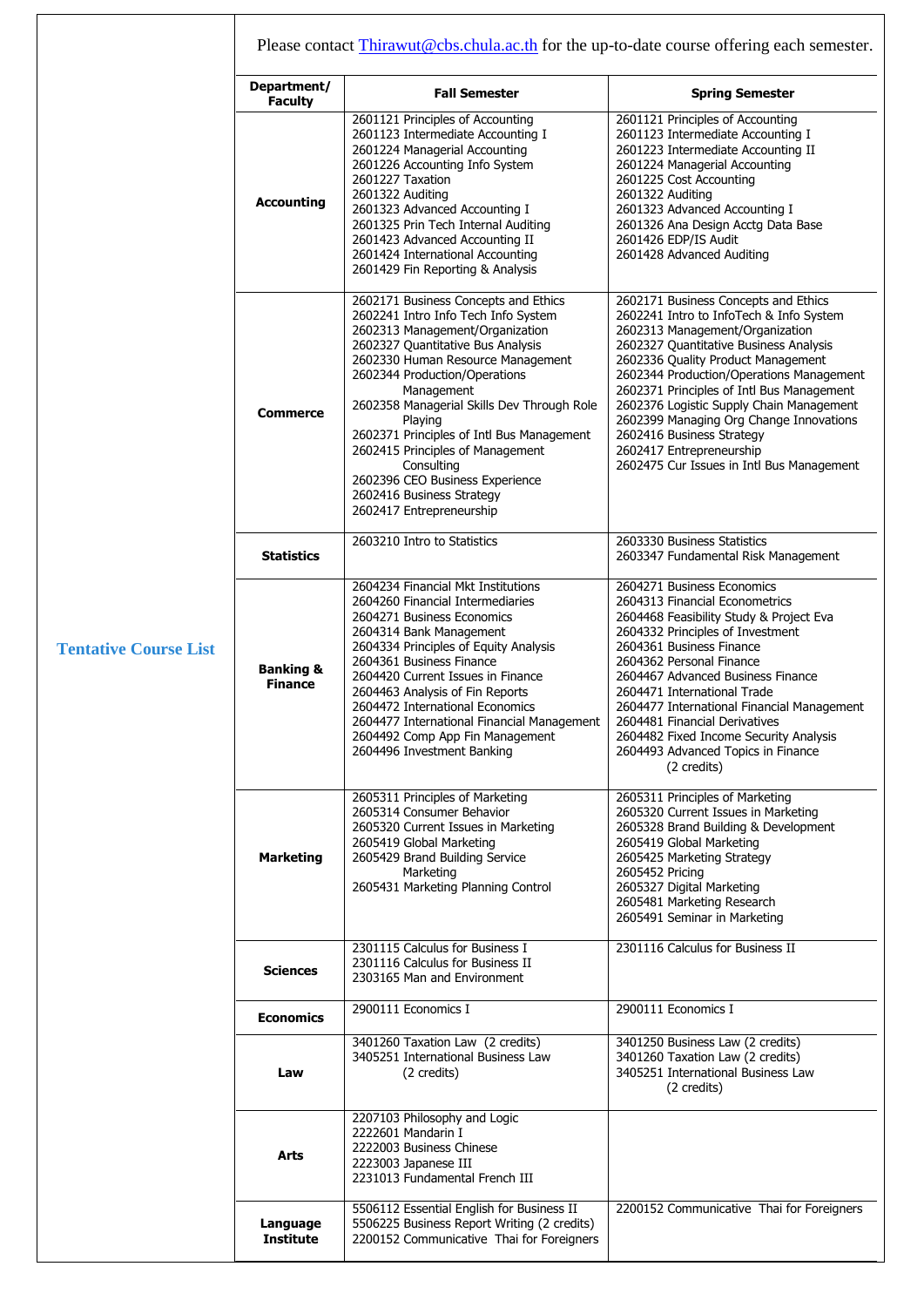|                              | Please contact Thirawut@cbs.chula.ac.th for the up-to-date course offering each semester. |                                                                                                                                                                                                                                                                                                                                                                                                                                                                                             |                                                                                                                                                                                                                                                                                                                                                                                                                                                                                          |  |
|------------------------------|-------------------------------------------------------------------------------------------|---------------------------------------------------------------------------------------------------------------------------------------------------------------------------------------------------------------------------------------------------------------------------------------------------------------------------------------------------------------------------------------------------------------------------------------------------------------------------------------------|------------------------------------------------------------------------------------------------------------------------------------------------------------------------------------------------------------------------------------------------------------------------------------------------------------------------------------------------------------------------------------------------------------------------------------------------------------------------------------------|--|
|                              | Department/<br><b>Faculty</b>                                                             | <b>Fall Semester</b>                                                                                                                                                                                                                                                                                                                                                                                                                                                                        | <b>Spring Semester</b>                                                                                                                                                                                                                                                                                                                                                                                                                                                                   |  |
|                              | <b>Accounting</b>                                                                         | 2601121 Principles of Accounting<br>2601123 Intermediate Accounting I<br>2601224 Managerial Accounting<br>2601226 Accounting Info System<br>2601227 Taxation<br>2601322 Auditing<br>2601323 Advanced Accounting I<br>2601325 Prin Tech Internal Auditing<br>2601423 Advanced Accounting II<br>2601424 International Accounting<br>2601429 Fin Reporting & Analysis                                                                                                                          | 2601121 Principles of Accounting<br>2601123 Intermediate Accounting I<br>2601223 Intermediate Accounting II<br>2601224 Managerial Accounting<br>2601225 Cost Accounting<br>2601322 Auditing<br>2601323 Advanced Accounting I<br>2601326 Ana Design Acctg Data Base<br>2601426 EDP/IS Audit<br>2601428 Advanced Auditing                                                                                                                                                                  |  |
|                              | <b>Commerce</b>                                                                           | 2602171 Business Concepts and Ethics<br>2602241 Intro Info Tech Info System<br>2602313 Management/Organization<br>2602327 Quantitative Bus Analysis<br>2602330 Human Resource Management<br>2602344 Production/Operations<br>Management<br>2602358 Managerial Skills Dev Through Role<br>Playing<br>2602371 Principles of Intl Bus Management<br>2602415 Principles of Management<br>Consulting<br>2602396 CEO Business Experience<br>2602416 Business Strategy<br>2602417 Entrepreneurship | 2602171 Business Concepts and Ethics<br>2602241 Intro to InfoTech & Info System<br>2602313 Management/Organization<br>2602327 Quantitative Business Analysis<br>2602336 Quality Product Management<br>2602344 Production/Operations Management<br>2602371 Principles of Intl Bus Management<br>2602376 Logistic Supply Chain Management<br>2602399 Managing Org Change Innovations<br>2602416 Business Strategy<br>2602417 Entrepreneurship<br>2602475 Cur Issues in Intl Bus Management |  |
|                              | <b>Statistics</b>                                                                         | 2603210 Intro to Statistics                                                                                                                                                                                                                                                                                                                                                                                                                                                                 | 2603330 Business Statistics<br>2603347 Fundamental Risk Management                                                                                                                                                                                                                                                                                                                                                                                                                       |  |
| <b>Tentative Course List</b> | <b>Banking &amp;</b><br><b>Finance</b>                                                    | 2604234 Financial Mkt Institutions<br>2604260 Financial Intermediaries<br>2604271 Business Economics<br>2604314 Bank Management<br>2604334 Principles of Equity Analysis<br>2604361 Business Finance<br>2604420 Current Issues in Finance<br>2604463 Analysis of Fin Reports<br>2604472 International Economics<br>2604477 International Financial Management<br>2604492 Comp App Fin Management<br>2604496 Investment Banking                                                              | 2604271 Business Economics<br>2604313 Financial Econometrics<br>2604468 Feasibility Study & Project Eva<br>2604332 Principles of Investment<br>2604361 Business Finance<br>2604362 Personal Finance<br>2604467 Advanced Business Finance<br>2604471 International Trade<br>2604477 International Financial Management<br>2604481 Financial Derivatives<br>2604482 Fixed Income Security Analysis<br>2604493 Advanced Topics in Finance<br>(2 credits)                                    |  |
|                              | <b>Marketing</b>                                                                          | 2605311 Principles of Marketing<br>2605314 Consumer Behavior<br>2605320 Current Issues in Marketing<br>2605419 Global Marketing<br>2605429 Brand Building Service<br>Marketing<br>2605431 Marketing Planning Control                                                                                                                                                                                                                                                                        | 2605311 Principles of Marketing<br>2605320 Current Issues in Marketing<br>2605328 Brand Building & Development<br>2605419 Global Marketing<br>2605425 Marketing Strategy<br>2605452 Pricing<br>2605327 Digital Marketing<br>2605481 Marketing Research<br>2605491 Seminar in Marketing                                                                                                                                                                                                   |  |
|                              | <b>Sciences</b>                                                                           | 2301115 Calculus for Business I<br>2301116 Calculus for Business II<br>2303165 Man and Environment                                                                                                                                                                                                                                                                                                                                                                                          | 2301116 Calculus for Business II                                                                                                                                                                                                                                                                                                                                                                                                                                                         |  |
|                              | <b>Economics</b>                                                                          | 2900111 Economics I                                                                                                                                                                                                                                                                                                                                                                                                                                                                         | 2900111 Economics I                                                                                                                                                                                                                                                                                                                                                                                                                                                                      |  |
|                              | Law                                                                                       | 3401260 Taxation Law (2 credits)<br>3405251 International Business Law<br>(2 credits)                                                                                                                                                                                                                                                                                                                                                                                                       | 3401250 Business Law (2 credits)<br>3401260 Taxation Law (2 credits)<br>3405251 International Business Law<br>(2 credits)                                                                                                                                                                                                                                                                                                                                                                |  |
|                              | Arts                                                                                      | 2207103 Philosophy and Logic<br>2222601 Mandarin I<br>2222003 Business Chinese<br>2223003 Japanese III<br>2231013 Fundamental French III                                                                                                                                                                                                                                                                                                                                                    |                                                                                                                                                                                                                                                                                                                                                                                                                                                                                          |  |
|                              | Language<br><b>Institute</b>                                                              | 5506112 Essential English for Business II<br>5506225 Business Report Writing (2 credits)<br>2200152 Communicative Thai for Foreigners                                                                                                                                                                                                                                                                                                                                                       | 2200152 Communicative Thai for Foreigners                                                                                                                                                                                                                                                                                                                                                                                                                                                |  |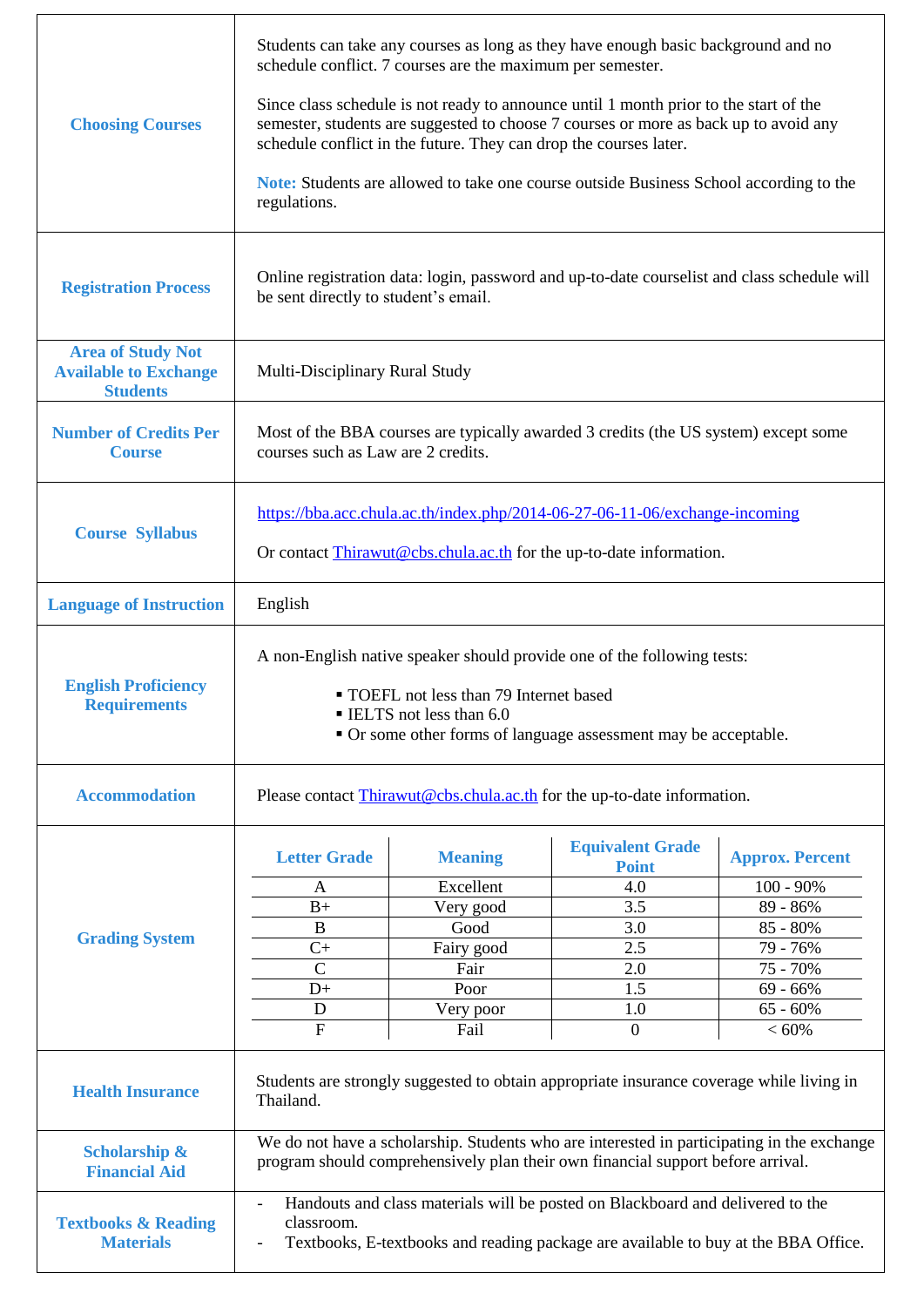| <b>Choosing Courses</b>                                                     | Students can take any courses as long as they have enough basic background and no<br>schedule conflict. 7 courses are the maximum per semester.<br>Since class schedule is not ready to announce until 1 month prior to the start of the<br>semester, students are suggested to choose 7 courses or more as back up to avoid any<br>schedule conflict in the future. They can drop the courses later.<br><b>Note:</b> Students are allowed to take one course outside Business School according to the<br>regulations. |                                                                                                     |                                                                                                            |                                                                                                                                 |
|-----------------------------------------------------------------------------|------------------------------------------------------------------------------------------------------------------------------------------------------------------------------------------------------------------------------------------------------------------------------------------------------------------------------------------------------------------------------------------------------------------------------------------------------------------------------------------------------------------------|-----------------------------------------------------------------------------------------------------|------------------------------------------------------------------------------------------------------------|---------------------------------------------------------------------------------------------------------------------------------|
| <b>Registration Process</b>                                                 | Online registration data: login, password and up-to-date courselist and class schedule will<br>be sent directly to student's email.                                                                                                                                                                                                                                                                                                                                                                                    |                                                                                                     |                                                                                                            |                                                                                                                                 |
| <b>Area of Study Not</b><br><b>Available to Exchange</b><br><b>Students</b> | Multi-Disciplinary Rural Study                                                                                                                                                                                                                                                                                                                                                                                                                                                                                         |                                                                                                     |                                                                                                            |                                                                                                                                 |
| <b>Number of Credits Per</b><br><b>Course</b>                               | Most of the BBA courses are typically awarded 3 credits (the US system) except some<br>courses such as Law are 2 credits.                                                                                                                                                                                                                                                                                                                                                                                              |                                                                                                     |                                                                                                            |                                                                                                                                 |
| <b>Course Syllabus</b>                                                      | https://bba.acc.chula.ac.th/index.php/2014-06-27-06-11-06/exchange-incoming<br>Or contact Thirawut@cbs.chula.ac.th for the up-to-date information.                                                                                                                                                                                                                                                                                                                                                                     |                                                                                                     |                                                                                                            |                                                                                                                                 |
| <b>Language of Instruction</b>                                              | English                                                                                                                                                                                                                                                                                                                                                                                                                                                                                                                |                                                                                                     |                                                                                                            |                                                                                                                                 |
| <b>English Proficiency</b><br><b>Requirements</b>                           | A non-English native speaker should provide one of the following tests:<br>• TOEFL not less than 79 Internet based<br>ELTS not less than 6.0<br>• Or some other forms of language assessment may be acceptable.                                                                                                                                                                                                                                                                                                        |                                                                                                     |                                                                                                            |                                                                                                                                 |
| <b>Accommodation</b>                                                        | Please contact Thirawut@cbs.chula.ac.th for the up-to-date information.                                                                                                                                                                                                                                                                                                                                                                                                                                                |                                                                                                     |                                                                                                            |                                                                                                                                 |
| <b>Grading System</b>                                                       | <b>Letter Grade</b><br>A<br>$B+$<br>$\overline{B}$<br>$C+$<br>$\overline{C}$<br>$D+$<br>$\mathbf D$<br>$\overline{F}$                                                                                                                                                                                                                                                                                                                                                                                                  | <b>Meaning</b><br>Excellent<br>Very good<br>Good<br>Fairy good<br>Fair<br>Poor<br>Very poor<br>Fail | <b>Equivalent Grade</b><br><b>Point</b><br>4.0<br>3.5<br>3.0<br>2.5<br>2.0<br>1.5<br>1.0<br>$\overline{0}$ | <b>Approx. Percent</b><br>$100 - 90\%$<br>89 - 86%<br>85 - 80%<br>79 - 76%<br>75 - 70%<br>$69 - 66%$<br>$65 - 60\%$<br>$< 60\%$ |
| <b>Health Insurance</b>                                                     | Students are strongly suggested to obtain appropriate insurance coverage while living in<br>Thailand.                                                                                                                                                                                                                                                                                                                                                                                                                  |                                                                                                     |                                                                                                            |                                                                                                                                 |
| <b>Scholarship &amp;</b><br><b>Financial Aid</b>                            | We do not have a scholarship. Students who are interested in participating in the exchange<br>program should comprehensively plan their own financial support before arrival.                                                                                                                                                                                                                                                                                                                                          |                                                                                                     |                                                                                                            |                                                                                                                                 |
| <b>Textbooks &amp; Reading</b><br><b>Materials</b>                          | Handouts and class materials will be posted on Blackboard and delivered to the<br>$\overline{\phantom{a}}$<br>classroom.<br>Textbooks, E-textbooks and reading package are available to buy at the BBA Office.                                                                                                                                                                                                                                                                                                         |                                                                                                     |                                                                                                            |                                                                                                                                 |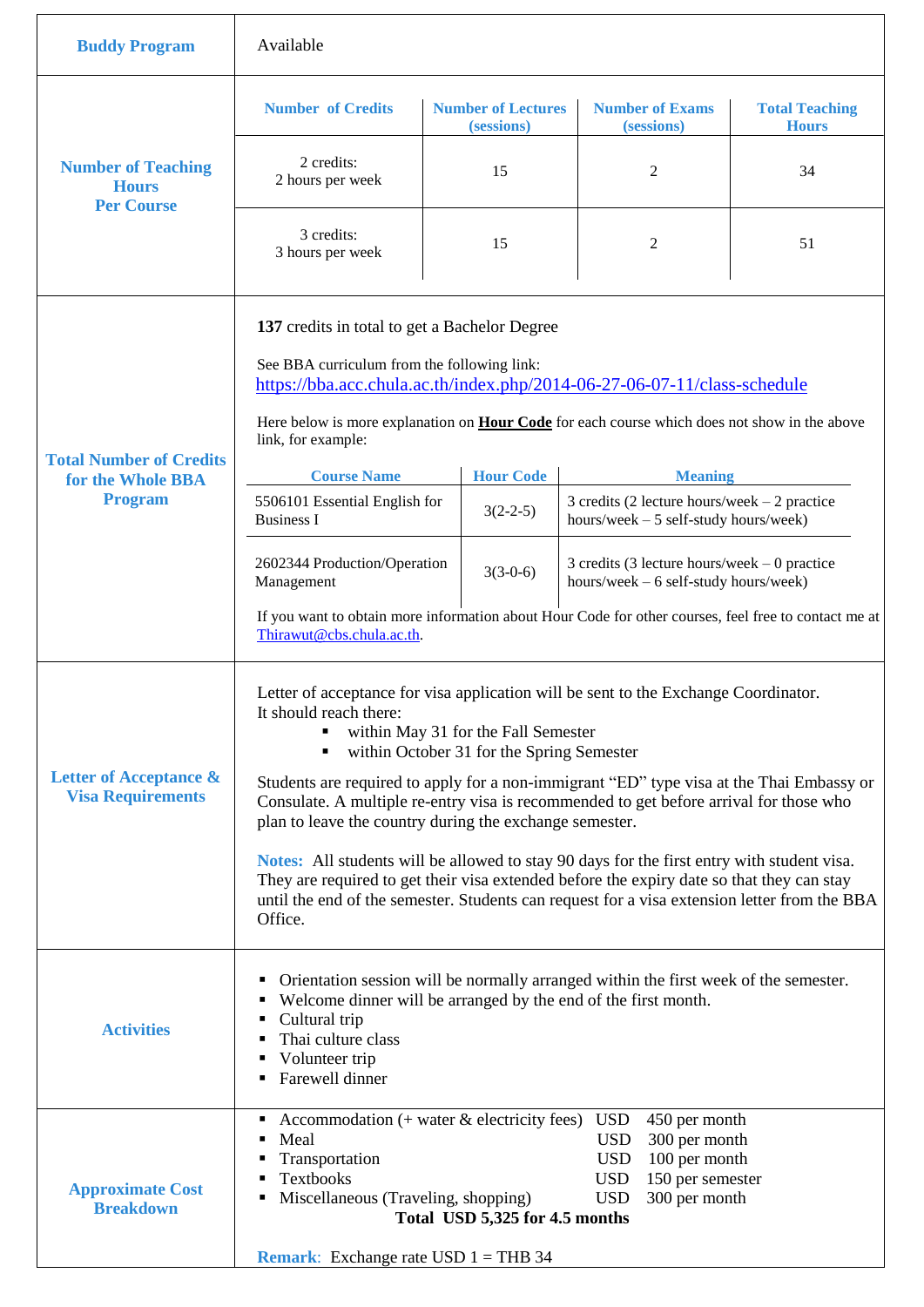| <b>Buddy Program</b>                                           | Available                                                                                                                                                                                                                                                                                                                                                                                                                                                                                                                                                                                                                                                                                                                                                                  |                                         |                                                                                                                                                            |                                       |
|----------------------------------------------------------------|----------------------------------------------------------------------------------------------------------------------------------------------------------------------------------------------------------------------------------------------------------------------------------------------------------------------------------------------------------------------------------------------------------------------------------------------------------------------------------------------------------------------------------------------------------------------------------------------------------------------------------------------------------------------------------------------------------------------------------------------------------------------------|-----------------------------------------|------------------------------------------------------------------------------------------------------------------------------------------------------------|---------------------------------------|
| <b>Number of Teaching</b><br><b>Hours</b><br><b>Per Course</b> | <b>Number of Credits</b>                                                                                                                                                                                                                                                                                                                                                                                                                                                                                                                                                                                                                                                                                                                                                   | <b>Number of Lectures</b><br>(sessions) | <b>Number of Exams</b><br>(sessions)                                                                                                                       | <b>Total Teaching</b><br><b>Hours</b> |
|                                                                | 2 credits:<br>2 hours per week                                                                                                                                                                                                                                                                                                                                                                                                                                                                                                                                                                                                                                                                                                                                             | 15                                      | 2                                                                                                                                                          | 34                                    |
|                                                                | 3 credits:<br>3 hours per week                                                                                                                                                                                                                                                                                                                                                                                                                                                                                                                                                                                                                                                                                                                                             | 15                                      | 2                                                                                                                                                          | 51                                    |
|                                                                | 137 credits in total to get a Bachelor Degree<br>See BBA curriculum from the following link:<br>https://bba.acc.chula.ac.th/index.php/2014-06-27-06-07-11/class-schedule<br>Here below is more explanation on <b>Hour Code</b> for each course which does not show in the above                                                                                                                                                                                                                                                                                                                                                                                                                                                                                            |                                         |                                                                                                                                                            |                                       |
| <b>Total Number of Credits</b>                                 | link, for example:                                                                                                                                                                                                                                                                                                                                                                                                                                                                                                                                                                                                                                                                                                                                                         |                                         |                                                                                                                                                            |                                       |
| for the Whole BBA<br><b>Program</b>                            | <b>Course Name</b><br>5506101 Essential English for<br><b>Business I</b>                                                                                                                                                                                                                                                                                                                                                                                                                                                                                                                                                                                                                                                                                                   | <b>Hour Code</b><br>$3(2-2-5)$          | <b>Meaning</b><br>3 credits (2 lecture hours/week $-2$ practice<br>hours/week $-5$ self-study hours/week)                                                  |                                       |
|                                                                | 2602344 Production/Operation<br>Management                                                                                                                                                                                                                                                                                                                                                                                                                                                                                                                                                                                                                                                                                                                                 | $3(3-0-6)$                              | 3 credits (3 lecture hours/week $-0$ practice<br>hours/week - 6 self-study hours/week)                                                                     |                                       |
|                                                                | If you want to obtain more information about Hour Code for other courses, feel free to contact me at<br>Thirawut@cbs.chula.ac.th.                                                                                                                                                                                                                                                                                                                                                                                                                                                                                                                                                                                                                                          |                                         |                                                                                                                                                            |                                       |
| Letter of Acceptance &<br><b>Visa Requirements</b>             | Letter of acceptance for visa application will be sent to the Exchange Coordinator.<br>It should reach there:<br>within May 31 for the Fall Semester<br>within October 31 for the Spring Semester<br>$\blacksquare$<br>Students are required to apply for a non-immigrant "ED" type visa at the Thai Embassy or<br>Consulate. A multiple re-entry visa is recommended to get before arrival for those who<br>plan to leave the country during the exchange semester.<br>Notes: All students will be allowed to stay 90 days for the first entry with student visa.<br>They are required to get their visa extended before the expiry date so that they can stay<br>until the end of the semester. Students can request for a visa extension letter from the BBA<br>Office. |                                         |                                                                                                                                                            |                                       |
| <b>Activities</b>                                              | Orientation session will be normally arranged within the first week of the semester.<br>Welcome dinner will be arranged by the end of the first month.<br>• Cultural trip<br>Thai culture class<br>Volunteer trip<br>٠<br>Farewell dinner                                                                                                                                                                                                                                                                                                                                                                                                                                                                                                                                  |                                         |                                                                                                                                                            |                                       |
| <b>Approximate Cost</b><br><b>Breakdown</b>                    | Accommodation $($ + water $&$ electricity fees $)$<br>Meal<br>Transportation<br>Textbooks<br>Miscellaneous (Traveling, shopping)<br>٠<br><b>Remark:</b> Exchange rate USD $1 = THB$ 34                                                                                                                                                                                                                                                                                                                                                                                                                                                                                                                                                                                     | Total USD 5,325 for 4.5 months          | <b>USD</b><br>450 per month<br><b>USD</b><br>300 per month<br><b>USD</b><br>100 per month<br><b>USD</b><br>150 per semester<br><b>USD</b><br>300 per month |                                       |